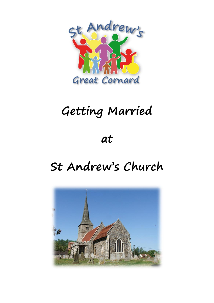

# **Getting Married**

# **at**

# **St Andrew's Church**

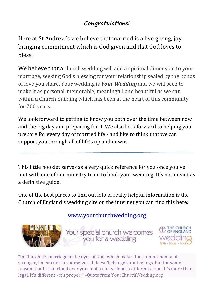## **Congratulations!**

Here at St Andrew's we believe that married is a live giving, joy bringing commitment which is God given and that God loves to bless.

We believe that a church wedding will add a spiritual dimension to your marriage, seeking God's blessing for your relationship sealed by the bonds of love you share. Your wedding is *Your Wedding* and we will seek to make it as personal, memorable, meaningful and beautiful as we can within a Church building which has been at the heart of this community for 700 years.

We look forward to getting to know you both over the time between now and the big day and preparing for it. We also look forward to helping you prepare for every day of married life - and like to think that we can support you through all of life's up and downs.

This little booklet serves as a very quick reference for you once you've met with one of our ministry team to book your wedding. It's not meant as a definitive guide.

One of the best places to find out lots of really helpful information is the Church of England's wedding site on the internet you can find this here:

[www.yourchurchwedding.org](http://www.yourchurchwedding.org/)





"In Church it's marriage in the eyes of God, which makes the commitment a bit stronger, I mean not in yourselves, it doesn't change your feelings, but for some reason it puts that cloud over you– not a nasty cloud, a different cloud. It's more than legal. It's different - it's proper." –Quote from YourChurchWedding.org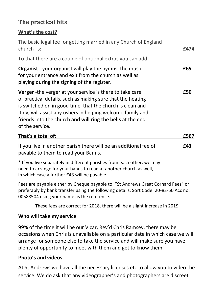### **The practical bits**

#### **What's the cost?**

| The basic legal fee for getting married in any Church of England<br>church is:<br>To that there are a couple of optional extras you can add:                                                                                                                                                                                        | £474 |
|-------------------------------------------------------------------------------------------------------------------------------------------------------------------------------------------------------------------------------------------------------------------------------------------------------------------------------------|------|
|                                                                                                                                                                                                                                                                                                                                     |      |
| Verger - the verger at your service is there to take care<br>of practical details, such as making sure that the heating<br>is switched on in good time, that the church is clean and<br>tidy, will assist any ushers in helping welcome family and<br>friends into the church and will ring the bells at the end<br>of the service. | £50  |
| That's a total of:                                                                                                                                                                                                                                                                                                                  | £567 |
| If you live in another parish there will be an additional fee of<br>payable to them to read your Banns.                                                                                                                                                                                                                             | £43  |
| * If you live separately in different parishes from each other we may                                                                                                                                                                                                                                                               |      |

you live separately in different parishes from each other, we may need to arrange for your banns to read at another church as well, in which case a further £43 will be payable.

Fees are payable either by Cheque payable to: "St Andrews Great Cornard Fees" or preferably by bank transfer using the following details: Sort Code: 20-83-50 Acc no: 00588504 using your name as the reference.

These fees are correct for 2018, there will be a slight increase in 2019

#### **Who will take my service**

99% of the time it will be our Vicar, Rev'd Chris Ramsey, there may be occasions when Chris is unavailable on a particular date in which case we will arrange for someone else to take the service and will make sure you have plenty of opportunity to meet with them and get to know them

#### **Photo's and videos**

At St Andrews we have all the necessary licenses etc to allow you to video the service. We do ask that any videographer's and photographers are discreet